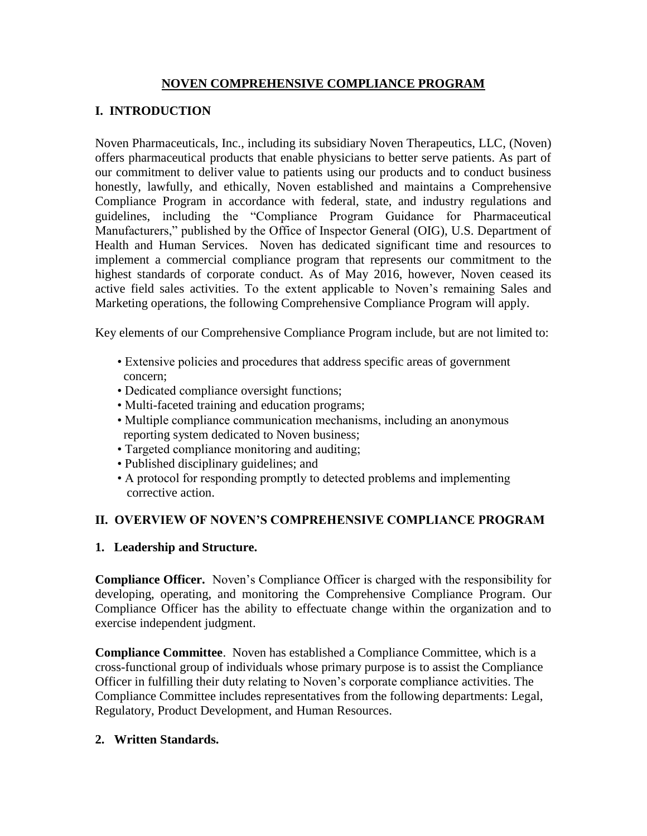### **NOVEN COMPREHENSIVE COMPLIANCE PROGRAM**

## **I. INTRODUCTION**

Noven Pharmaceuticals, Inc., including its subsidiary Noven Therapeutics, LLC, (Noven) offers pharmaceutical products that enable physicians to better serve patients. As part of our commitment to deliver value to patients using our products and to conduct business honestly, lawfully, and ethically, Noven established and maintains a Comprehensive Compliance Program in accordance with federal, state, and industry regulations and guidelines, including the "Compliance Program Guidance for Pharmaceutical Manufacturers," published by the Office of Inspector General (OIG), U.S. Department of Health and Human Services. Noven has dedicated significant time and resources to implement a commercial compliance program that represents our commitment to the highest standards of corporate conduct. As of May 2016, however, Noven ceased its active field sales activities. To the extent applicable to Noven's remaining Sales and Marketing operations, the following Comprehensive Compliance Program will apply.

Key elements of our Comprehensive Compliance Program include, but are not limited to:

- Extensive policies and procedures that address specific areas of government concern;
- Dedicated compliance oversight functions;
- Multi-faceted training and education programs;
- Multiple compliance communication mechanisms, including an anonymous reporting system dedicated to Noven business;
- Targeted compliance monitoring and auditing;
- Published disciplinary guidelines; and
- A protocol for responding promptly to detected problems and implementing corrective action.

### **II. OVERVIEW OF NOVEN'S COMPREHENSIVE COMPLIANCE PROGRAM**

### **1. Leadership and Structure.**

**Compliance Officer.** Noven's Compliance Officer is charged with the responsibility for developing, operating, and monitoring the Comprehensive Compliance Program. Our Compliance Officer has the ability to effectuate change within the organization and to exercise independent judgment.

**Compliance Committee**. Noven has established a Compliance Committee, which is a cross-functional group of individuals whose primary purpose is to assist the Compliance Officer in fulfilling their duty relating to Noven's corporate compliance activities. The Compliance Committee includes representatives from the following departments: Legal, Regulatory, Product Development, and Human Resources.

#### **2. Written Standards.**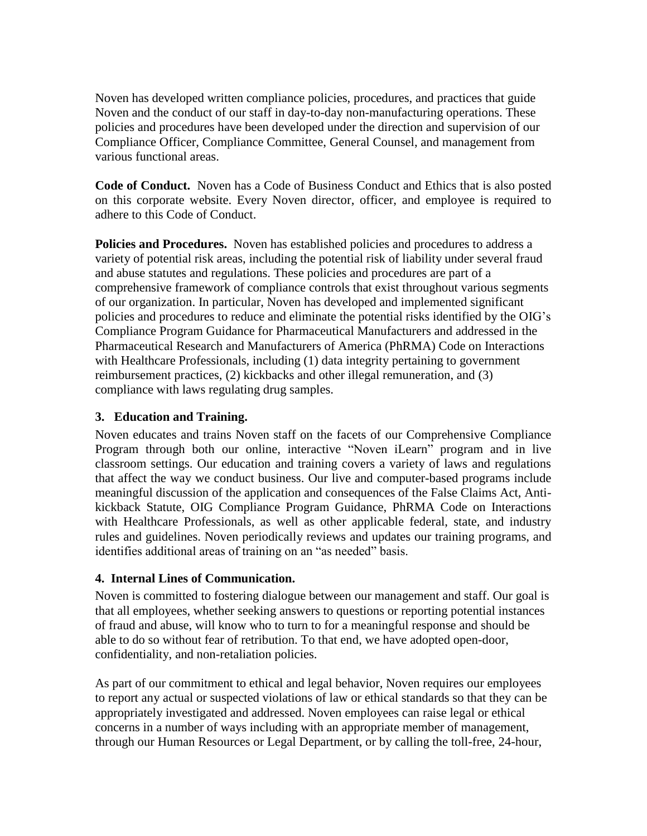Noven has developed written compliance policies, procedures, and practices that guide Noven and the conduct of our staff in day-to-day non-manufacturing operations. These policies and procedures have been developed under the direction and supervision of our Compliance Officer, Compliance Committee, General Counsel, and management from various functional areas.

**Code of Conduct.** Noven has a Code of Business Conduct and Ethics that is also posted on this corporate website. Every Noven director, officer, and employee is required to adhere to this Code of Conduct.

**Policies and Procedures.** Noven has established policies and procedures to address a variety of potential risk areas, including the potential risk of liability under several fraud and abuse statutes and regulations. These policies and procedures are part of a comprehensive framework of compliance controls that exist throughout various segments of our organization. In particular, Noven has developed and implemented significant policies and procedures to reduce and eliminate the potential risks identified by the OIG's Compliance Program Guidance for Pharmaceutical Manufacturers and addressed in the Pharmaceutical Research and Manufacturers of America (PhRMA) Code on Interactions with Healthcare Professionals, including (1) data integrity pertaining to government reimbursement practices, (2) kickbacks and other illegal remuneration, and (3) compliance with laws regulating drug samples.

### **3. Education and Training.**

Noven educates and trains Noven staff on the facets of our Comprehensive Compliance Program through both our online, interactive "Noven iLearn" program and in live classroom settings. Our education and training covers a variety of laws and regulations that affect the way we conduct business. Our live and computer-based programs include meaningful discussion of the application and consequences of the False Claims Act, Antikickback Statute, OIG Compliance Program Guidance, PhRMA Code on Interactions with Healthcare Professionals, as well as other applicable federal, state, and industry rules and guidelines. Noven periodically reviews and updates our training programs, and identifies additional areas of training on an "as needed" basis.

# **4. Internal Lines of Communication.**

Noven is committed to fostering dialogue between our management and staff. Our goal is that all employees, whether seeking answers to questions or reporting potential instances of fraud and abuse, will know who to turn to for a meaningful response and should be able to do so without fear of retribution. To that end, we have adopted open-door, confidentiality, and non-retaliation policies.

As part of our commitment to ethical and legal behavior, Noven requires our employees to report any actual or suspected violations of law or ethical standards so that they can be appropriately investigated and addressed. Noven employees can raise legal or ethical concerns in a number of ways including with an appropriate member of management, through our Human Resources or Legal Department, or by calling the toll-free, 24-hour,